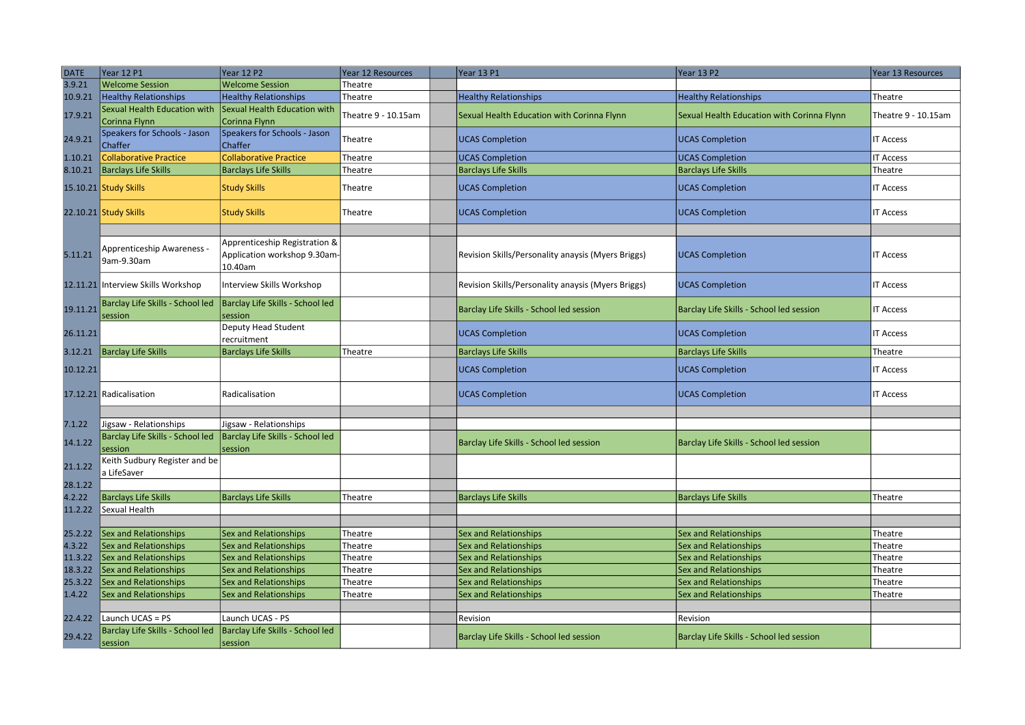| <b>DATE</b>        | Year 12 P1                                            | <b>Year 12 P2</b>                                                       | Year 12 Resources   | Year 13 P1                                         | <b>Year 13 P2</b>                              | Year 13 Resources   |
|--------------------|-------------------------------------------------------|-------------------------------------------------------------------------|---------------------|----------------------------------------------------|------------------------------------------------|---------------------|
| 3.9.21             | <b>Welcome Session</b>                                | <b>Welcome Session</b>                                                  | Theatre             |                                                    |                                                |                     |
| 10.9.21            | <b>Healthy Relationships</b>                          | <b>Healthy Relationships</b>                                            | Theatre             | <b>Healthy Relationships</b>                       | <b>Healthy Relationships</b>                   | Theatre             |
| 17.9.21            | Sexual Health Education with<br>Corinna Flynn         | Sexual Health Education with<br>Corinna Flynn                           | Theatre 9 - 10.15am | Sexual Health Education with Corinna Flynn         | Sexual Health Education with Corinna Flynn     | Theatre 9 - 10.15am |
| 24.9.21            | Speakers for Schools - Jason<br>Chaffer               | Speakers for Schools - Jason<br>Chaffer                                 | Theatre             | <b>UCAS Completion</b>                             | <b>UCAS Completion</b>                         | <b>IT Access</b>    |
| 1.10.21            | <b>Collaborative Practice</b>                         | <b>Collaborative Practice</b>                                           | Theatre             | <b>UCAS Completion</b>                             | <b>UCAS Completion</b>                         | <b>IT Access</b>    |
| 8.10.21            | <b>Barclays Life Skills</b>                           | <b>Barclays Life Skills</b>                                             | Theatre             | <b>Barclays Life Skills</b>                        | <b>Barclays Life Skills</b>                    | Theatre             |
|                    | 15.10.21 Study Skills                                 | <b>Study Skills</b>                                                     | Theatre             | <b>UCAS Completion</b>                             | <b>UCAS Completion</b>                         | <b>IT Access</b>    |
|                    | 22.10.21 Study Skills                                 | <b>Study Skills</b>                                                     | Theatre             | <b>UCAS Completion</b>                             | <b>UCAS Completion</b>                         | <b>IT Access</b>    |
|                    |                                                       |                                                                         |                     |                                                    |                                                |                     |
| 5.11.21            | Apprenticeship Awareness -<br>9am-9.30am              | Apprenticeship Registration &<br>Application workshop 9.30am<br>10.40am |                     | Revision Skills/Personality anaysis (Myers Briggs) | <b>UCAS Completion</b>                         | <b>IT Access</b>    |
|                    | 12.11.21 Interview Skills Workshop                    | Interview Skills Workshop                                               |                     | Revision Skills/Personality anaysis (Myers Briggs) | <b>UCAS Completion</b>                         | <b>IT Access</b>    |
| 19.11.21           | Barclay Life Skills - School led<br>session           | Barclay Life Skills - School led<br>session                             |                     | Barclay Life Skills - School led session           | Barclay Life Skills - School led session       | <b>IT Access</b>    |
| 26.11.21           |                                                       | Deputy Head Student<br>recruitment                                      |                     | <b>UCAS Completion</b>                             | <b>UCAS Completion</b>                         | <b>IT Access</b>    |
| 3.12.21            | <b>Barclay Life Skills</b>                            | <b>Barclays Life Skills</b>                                             | Theatre             | <b>Barclays Life Skills</b>                        | <b>Barclays Life Skills</b>                    | Theatre             |
| 10.12.21           |                                                       |                                                                         |                     | <b>UCAS Completion</b>                             | <b>UCAS Completion</b>                         | <b>IT Access</b>    |
|                    | 17.12.21 Radicalisation                               | Radicalisation                                                          |                     | <b>UCAS Completion</b>                             | <b>UCAS Completion</b>                         | <b>IT Access</b>    |
| 7.1.22             | Jigsaw - Relationships                                | Jigsaw - Relationships                                                  |                     |                                                    |                                                |                     |
| 14.1.22            | Barclay Life Skills - School led<br>session           | Barclay Life Skills - School led<br>session                             |                     | Barclay Life Skills - School led session           | Barclay Life Skills - School led session       |                     |
| 21.1.22            | Keith Sudbury Register and be<br>a LifeSaver          |                                                                         |                     |                                                    |                                                |                     |
| 28.1.22            |                                                       |                                                                         |                     |                                                    |                                                |                     |
| 4.2.22             | Barclays Life Skills                                  | <b>Barclays Life Skills</b>                                             | Theatre             | <b>Barclays Life Skills</b>                        | <b>Barclays Life Skills</b>                    | Theatre             |
| 11.2.22            | Sexual Health                                         |                                                                         |                     |                                                    |                                                |                     |
|                    |                                                       |                                                                         |                     |                                                    |                                                |                     |
| 25.2.22            | <b>Sex and Relationships</b>                          | <b>Sex and Relationships</b>                                            | Theatre             | <b>Sex and Relationships</b>                       | Sex and Relationships                          | Theatre             |
| 4.3.22             | <b>Sex and Relationships</b>                          | <b>Sex and Relationships</b>                                            | Theatre             | <b>Sex and Relationships</b>                       | Sex and Relationships                          | Theatre             |
| 11.3.22            | <b>Sex and Relationships</b>                          | <b>Sex and Relationships</b>                                            | Theatre<br>Theatre  | <b>Sex and Relationships</b>                       | Sex and Relationships                          | Theatre             |
| 18.3.22<br>25.3.22 | <b>Sex and Relationships</b><br>Sex and Relationships | Sex and Relationships<br><b>Sex and Relationships</b>                   | Theatre             | Sex and Relationships<br>Sex and Relationships     | Sex and Relationships<br>Sex and Relationships | Theatre<br>Theatre  |
| 1.4.22             | Sex and Relationships                                 | Sex and Relationships                                                   | Theatre             | Sex and Relationships                              | Sex and Relationships                          | Theatre             |
|                    |                                                       |                                                                         |                     |                                                    |                                                |                     |
| 22.4.22            | Launch UCAS = PS                                      | Launch UCAS - PS                                                        |                     | Revision                                           | Revision                                       |                     |
|                    | Barclay Life Skills - School led                      | Barclay Life Skills - School led                                        |                     |                                                    |                                                |                     |
| 29.4.22            | session                                               | session                                                                 |                     | Barclay Life Skills - School led session           | Barclay Life Skills - School led session       |                     |